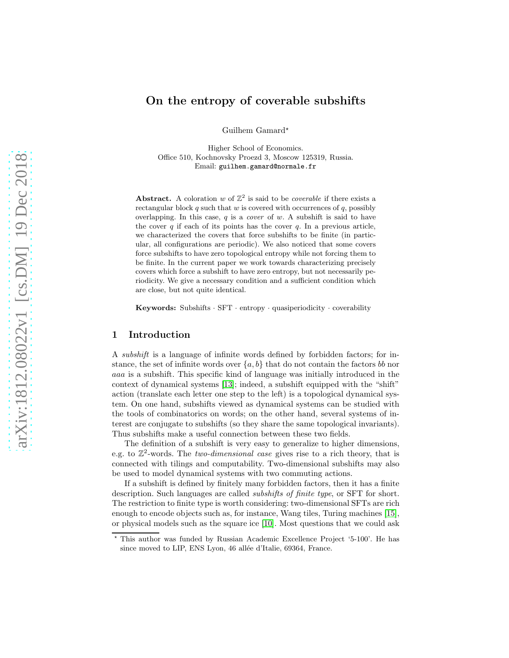# On the entropy of coverable subshifts

Guilhem Gamard\*

Higher School of Economics. Office 510, Kochnovsky Proezd 3, Moscow 125319, Russia. Email: guilhem.gamard@normale.fr

Abstract. A coloration w of  $\mathbb{Z}^2$  is said to be *coverable* if there exists a rectangular block  $q$  such that  $w$  is covered with occurrences of  $q$ , possibly overlapping. In this case, q is a *cover* of w. A subshift is said to have the cover  $q$  if each of its points has the cover  $q$ . In a previous article, we characterized the covers that force subshifts to be finite (in particular, all configurations are periodic). We also noticed that some covers force subshifts to have zero topological entropy while not forcing them to be finite. In the current paper we work towards characterizing precisely covers which force a subshift to have zero entropy, but not necessarily periodicity. We give a necessary condition and a sufficient condition which are close, but not quite identical.

Keywords: Subshifts · SFT · entropy · quasiperiodicity · coverability

## 1 Introduction

A *subshift* is a language of infinite words defined by forbidden factors; for instance, the set of infinite words over  $\{a, b\}$  that do not contain the factors bb nor aaa is a subshift. This specific kind of language was initially introduced in the context of dynamical systems [\[13\]](#page-11-0); indeed, a subshift equipped with the "shift" action (translate each letter one step to the left) is a topological dynamical system. On one hand, subshifts viewed as dynamical systems can be studied with the tools of combinatorics on words; on the other hand, several systems of interest are conjugate to subshifts (so they share the same topological invariants). Thus subshifts make a useful connection between these two fields.

The definition of a subshift is very easy to generalize to higher dimensions, e.g. to  $\mathbb{Z}^2$ -words. The *two-dimensional case* gives rise to a rich theory, that is connected with tilings and computability. Two-dimensional subshifts may also be used to model dynamical systems with two commuting actions.

If a subshift is defined by finitely many forbidden factors, then it has a finite description. Such languages are called *subshifts of finite type*, or SFT for short. The restriction to finite type is worth considering: two-dimensional SFTs are rich enough to encode objects such as, for instance, Wang tiles, Turing machines [\[15\]](#page-11-1), or physical models such as the square ice [\[10\]](#page-11-2). Most questions that we could ask

<sup>⋆</sup> This author was funded by Russian Academic Excellence Project '5-100'. He has since moved to LIP, ENS Lyon, 46 allée d'Italie, 69364, France.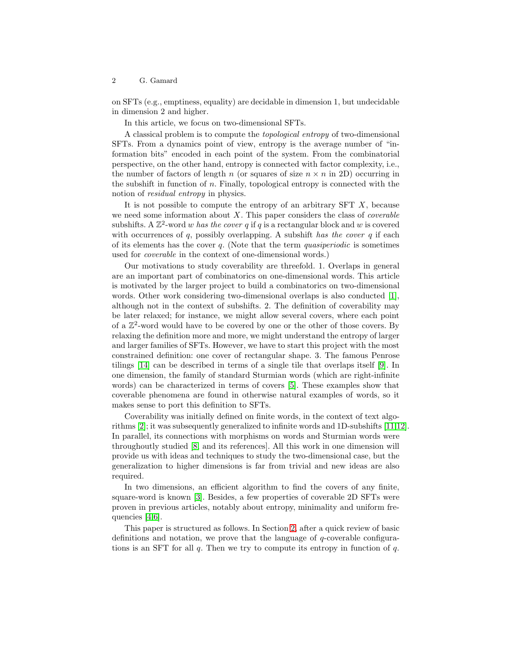on SFTs (e.g., emptiness, equality) are decidable in dimension 1, but undecidable in dimension 2 and higher.

In this article, we focus on two-dimensional SFTs.

A classical problem is to compute the *topological entropy* of two-dimensional SFTs. From a dynamics point of view, entropy is the average number of "information bits" encoded in each point of the system. From the combinatorial perspective, on the other hand, entropy is connected with factor complexity, i.e., the number of factors of length n (or squares of size  $n \times n$  in 2D) occurring in the subshift in function of  $n$ . Finally, topological entropy is connected with the notion of *residual entropy* in physics.

It is not possible to compute the entropy of an arbitrary  $SFT X$ , because we need some information about X. This paper considers the class of *coverable* subshifts. A  $\mathbb{Z}^2$ -word w *has the cover* q if q is a rectangular block and w is covered with occurrences of q, possibly overlapping. A subshift *has the cover* q if each of its elements has the cover q. (Note that the term *quasiperiodic* is sometimes used for *coverable* in the context of one-dimensional words.)

Our motivations to study coverability are threefold. 1. Overlaps in general are an important part of combinatorics on one-dimensional words. This article is motivated by the larger project to build a combinatorics on two-dimensional words. Other work considering two-dimensional overlaps is also conducted [\[1\]](#page-11-3), although not in the context of subshifts. 2. The definition of coverability may be later relaxed; for instance, we might allow several covers, where each point of a  $\mathbb{Z}^2$ -word would have to be covered by one or the other of those covers. By relaxing the definition more and more, we might understand the entropy of larger and larger families of SFTs. However, we have to start this project with the most constrained definition: one cover of rectangular shape. 3. The famous Penrose tilings [\[14\]](#page-11-4) can be described in terms of a single tile that overlaps itself [\[9\]](#page-11-5). In one dimension, the family of standard Sturmian words (which are right-infinite words) can be characterized in terms of covers [\[5\]](#page-11-6). These examples show that coverable phenomena are found in otherwise natural examples of words, so it makes sense to port this definition to SFTs.

Coverability was initially defined on finite words, in the context of text algorithms [\[2\]](#page-11-7); it was subsequently generalized to infinite words and 1D-subshifts [\[11](#page-11-8)[,12\]](#page-11-9). In parallel, its connections with morphisms on words and Sturmian words were throughoutly studied [\[8,](#page-11-10) and its references]. All this work in one dimension will provide us with ideas and techniques to study the two-dimensional case, but the generalization to higher dimensions is far from trivial and new ideas are also required.

In two dimensions, an efficient algorithm to find the covers of any finite, square-word is known [\[3\]](#page-11-11). Besides, a few properties of coverable 2D SFTs were proven in previous articles, notably about entropy, minimality and uniform frequencies [\[4](#page-11-12)[,6\]](#page-11-13).

This paper is structured as follows. In Section [2,](#page-2-0) after a quick review of basic definitions and notation, we prove that the language of q-coverable configurations is an SFT for all  $q$ . Then we try to compute its entropy in function of  $q$ .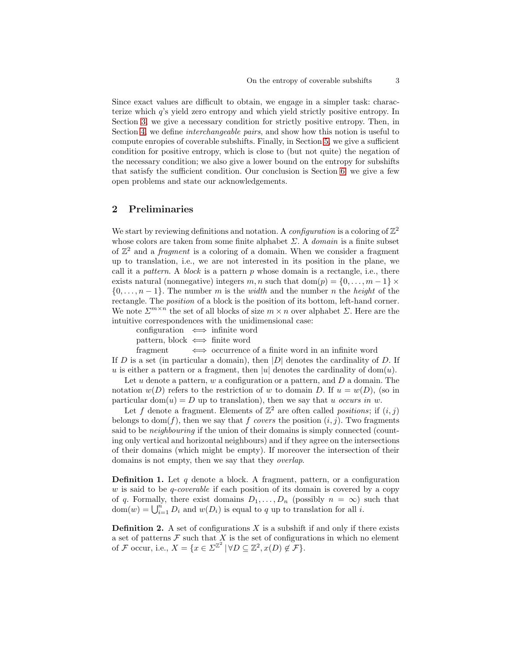Since exact values are difficult to obtain, we engage in a simpler task: characterize which q's yield zero entropy and which yield strictly positive entropy. In Section [3,](#page-4-0) we give a necessary condition for strictly positive entropy. Then, in Section [4,](#page-8-0) we define *interchangeable pairs*, and show how this notion is useful to compute enropies of coverable subshifts. Finally, in Section [5,](#page-9-0) we give a sufficient condition for positive entropy, which is close to (but not quite) the negation of the necessary condition; we also give a lower bound on the entropy for subshifts that satisfy the sufficient condition. Our conclusion is Section [6:](#page-10-0) we give a few open problems and state our acknowledgements.

## <span id="page-2-0"></span>2 Preliminaries

We start by reviewing definitions and notation. A *configuration* is a coloring of  $\mathbb{Z}^2$ whose colors are taken from some finite alphabet Σ. A *domain* is a finite subset of  $\mathbb{Z}^2$  and a *fragment* is a coloring of a domain. When we consider a fragment up to translation, i.e., we are not interested in its position in the plane, we call it a *pattern*. A *block* is a pattern p whose domain is a rectangle, i.e., there exists natural (nonnegative) integers m, n such that dom(p) = {0, ...,  $m-1$ }  $\times$  $\{0, \ldots, n-1\}$ . The number m is the *width* and the number n the *height* of the rectangle. The *position* of a block is the position of its bottom, left-hand corner. We note  $\sum^{m \times n}$  the set of all blocks of size  $m \times n$  over alphabet  $\Sigma$ . Here are the intuitive correspondences with the unidimensional case:

| configuration $\iff$ infinite word |  |
|------------------------------------|--|
| pattern, block $\iff$ finite word  |  |

fragment  $\iff$  occurrence of a finite word in an infinite word

If  $D$  is a set (in particular a domain), then  $|D|$  denotes the cardinality of  $D$ . If u is either a pattern or a fragment, then |u| denotes the cardinality of dom(u).

Let  $u$  denote a pattern,  $w$  a configuration or a pattern, and  $D$  a domain. The notation  $w(D)$  refers to the restriction of w to domain D. If  $u = w(D)$ , (so in particular  $dom(u) = D$  up to translation), then we say that u *occurs in* w.

Let f denote a fragment. Elements of  $\mathbb{Z}^2$  are often called *positions*; if  $(i, j)$ belongs to dom(f), then we say that f *covers* the position  $(i, j)$ . Two fragments said to be *neighbouring* if the union of their domains is simply connected (counting only vertical and horizontal neighbours) and if they agree on the intersections of their domains (which might be empty). If moreover the intersection of their domains is not empty, then we say that they *overlap*.

**Definition 1.** Let q denote a block. A fragment, pattern, or a configuration w is said to be *q-coverable* if each position of its domain is covered by a copy of q. Formally, there exist domains  $D_1, \ldots, D_n$  (possibly  $n = \infty$ ) such that  $dom(w) = \bigcup_{i=1}^{n} D_i$  and  $w(D_i)$  is equal to q up to translation for all i.

**Definition 2.** A set of configurations  $X$  is a subshift if and only if there exists a set of patterns  $\mathcal F$  such that  $X$  is the set of configurations in which no element of F occur, i.e.,  $X = \{x \in \Sigma^{\mathbb{Z}^2} \mid \forall D \subseteq \mathbb{Z}^2, x(D) \notin \mathcal{F}\}.$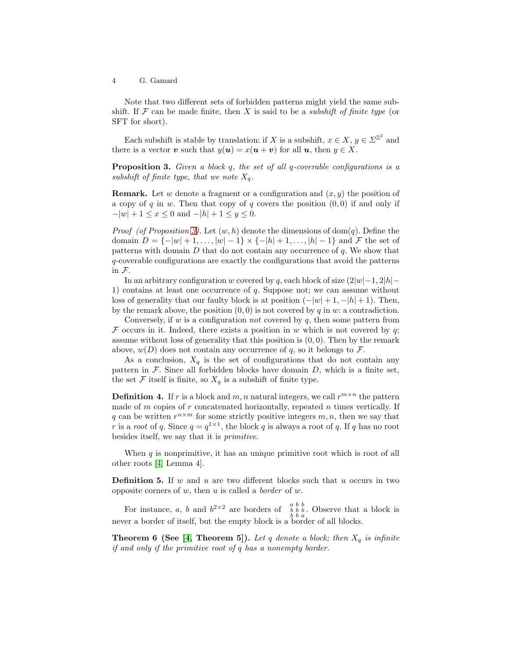Note that two different sets of forbidden patterns might yield the same subshift. If  $\mathcal F$  can be made finite, then X is said to be a *subshift of finite type* (or SFT for short).

<span id="page-3-0"></span>Each subshift is stable by translation: if X is a subshift,  $x \in X$ ,  $y \in \Sigma^{\mathbb{Z}^2}$  and there is a vector v such that  $y(\mathbf{u}) = x(\mathbf{u} + \mathbf{v})$  for all  $\mathbf{u}$ , then  $y \in X$ .

Proposition 3. *Given a block* q*, the set of all* q*-coverable configurations is a subshift of finite type, that we note*  $X_q$ *.* 

**Remark.** Let w denote a fragment or a configuration and  $(x, y)$  the position of a copy of q in w. Then that copy of q covers the position  $(0, 0)$  if and only if  $-|w| + 1 \le x \le 0$  and  $-|h| + 1 \le y \le 0$ .

*Proof (of Proposition [3\)](#page-3-0)*. Let  $(w, h)$  denote the dimensions of dom(q). Define the domain  $D = \{-|w| + 1, \ldots, |w| - 1\} \times \{-|h| + 1, \ldots, |h| - 1\}$  and F the set of patterns with domain  $D$  that do not contain any occurrence of  $q$ . We show that q-coverable configurations are exactly the configurations that avoid the patterns in F.

In an arbitrary configuration w covered by q, each block of size  $(2|w|-1, 2|h|-1)$ 1) contains at least one occurrence of  $q$ . Suppose not; we can assume without loss of generality that our faulty block is at position  $(-|w|+1, -|h|+1)$ . Then, by the remark above, the position  $(0, 0)$  is not covered by q in w: a contradiction.

Conversely, if  $w$  is a configuration *not* covered by  $q$ , then some pattern from  $F$  occurs in it. Indeed, there exists a position in w which is not covered by q; assume without loss of generality that this position is  $(0, 0)$ . Then by the remark above,  $w(D)$  does not contain any occurrence of q, so it belongs to  $\mathcal{F}$ .

As a conclusion,  $X_q$  is the set of configurations that do not contain any pattern in  $F$ . Since all forbidden blocks have domain  $D$ , which is a finite set, the set  $\mathcal F$  itself is finite, so  $X_q$  is a subshift of finite type.

**Definition 4.** If r is a block and  $m, n$  natural integers, we call  $r^{m \times n}$  the pattern made of  $m$  copies of  $r$  concatenated horizontally, repeated  $n$  times vertically. If q can be written  $r^{n \times m}$  for some strictly positive integers  $m, n$ , then we say that r is a *root* of q. Since  $q = q^{1 \times 1}$ , the block q is always a root of q. If q has no root besides itself, we say that it is *primitive*.

When  $q$  is nonprimitive, it has an unique primitive root which is root of all other roots [\[4,](#page-11-12) Lemma 4].

**Definition 5.** If w and u are two different blocks such that u occurs in two opposite corners of w, then u is called a *border* of w.

For instance, a, b and  $b^{2\times 2}$  are borders of  $\begin{array}{cc} a & b & b \\ b & b & c \end{array}$ . Observe that a block is never a border of itself, but the empty block is a border of all blocks.

**Theorem 6 (See [\[4,](#page-11-12) Theorem 5]).** Let q denote a block; then  $X_q$  is infinite *if and only if the primitive root of* q *has a nonempty border.*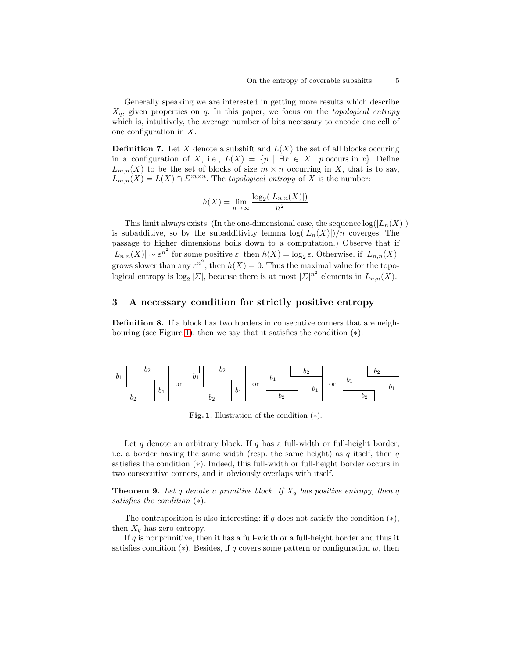Generally speaking we are interested in getting more results which describe Xq, given properties on q. In this paper, we focus on the *topological entropy* which is, intuitively, the average number of bits necessary to encode one cell of one configuration in X.

**Definition 7.** Let X denote a subshift and  $L(X)$  the set of all blocks occuring in a configuration of X, i.e.,  $L(X) = \{p \mid \exists x \in X, \ p \text{ occurs in } x\}.$  Define  $L_{m,n}(X)$  to be the set of blocks of size  $m \times n$  occurring in X, that is to say,  $L_{m,n}(X) = L(X) \cap \Sigma^{m \times n}$ . The *topological entropy* of X is the number:

$$
h(X) = \lim_{n \to \infty} \frac{\log_2(|L_{n,n}(X)|)}{n^2}
$$

This limit always exists. (In the one-dimensional case, the sequence  $log(|L_n(X)|)$ ) is subadditive, so by the subadditivity lemma  $\log(|L_n(X)|)/n$  coverges. The passage to higher dimensions boils down to a computation.) Observe that if  $|L_{n,n}(X)| \sim \varepsilon^{n^2}$  for some positive  $\varepsilon$ , then  $h(X) = \log_2 \varepsilon$ . Otherwise, if  $|L_{n,n}(X)|$ grows slower than any  $\varepsilon^{n^2}$ , then  $h(X) = 0$ . Thus the maximal value for the topological entropy is  $\log_2 |\Sigma|$ , because there is at most  $|\Sigma|^{n^2}$  elements in  $L_{n,n}(X)$ .

## <span id="page-4-0"></span>3 A necessary condition for strictly positive entropy

Definition 8. If a block has two borders in consecutive corners that are neigh-bouring (see Figure [1\)](#page-4-1), then we say that it satisfies the condition  $(*)$ .



<span id="page-4-1"></span>**Fig. 1.** Illustration of the condition  $(*).$ 

Let q denote an arbitrary block. If q has a full-width or full-height border, i.e. a border having the same width (resp. the same height) as q itself, then q satisfies the condition (∗). Indeed, this full-width or full-height border occurs in two consecutive corners, and it obviously overlaps with itself.

<span id="page-4-2"></span>**Theorem 9.** Let q denote a primitive block. If  $X_q$  has positive entropy, then q *satisfies the condition* (∗)*.*

The contraposition is also interesting: if  $q$  does not satisfy the condition  $(*),$ then  $X_q$  has zero entropy.

If  $q$  is nonprimitive, then it has a full-width or a full-height border and thus it satisfies condition  $(*)$ . Besides, if q covers some pattern or configuration w, then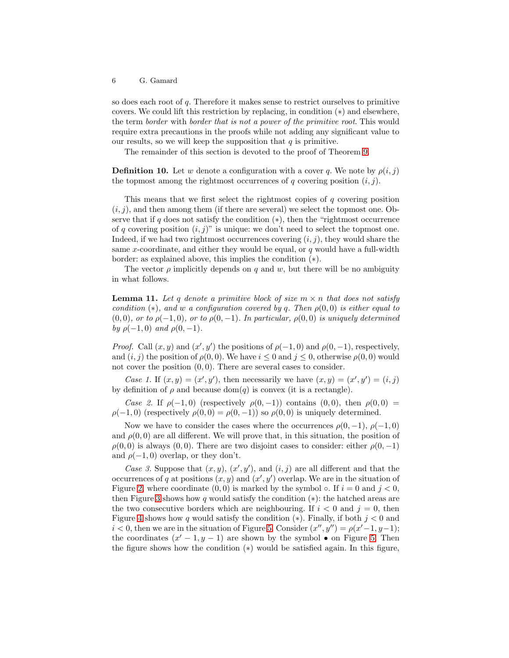so does each root of  $q$ . Therefore it makes sense to restrict ourselves to primitive covers. We could lift this restriction by replacing, in condition (∗) and elsewhere, the term *border* with *border that is not a power of the primitive root*. This would require extra precautions in the proofs while not adding any significant value to our results, so we will keep the supposition that  $q$  is primitive.

The remainder of this section is devoted to the proof of Theorem [9.](#page-4-2)

**Definition 10.** Let w denote a configuration with a cover q. We note by  $\rho(i, j)$ the topmost among the rightmost occurrences of q covering position  $(i, j)$ .

This means that we first select the rightmost copies of q covering position  $(i, j)$ , and then among them (if there are several) we select the topmost one. Observe that if q does not satisfy the condition  $(*)$ , then the "rightmost occurrence of q covering position  $(i, j)$ " is unique: we don't need to select the topmost one. Indeed, if we had two rightmost occurrences covering  $(i, j)$ , they would share the same x-coordinate, and either they would be equal, or  $q$  would have a full-width border: as explained above, this implies the condition (∗).

<span id="page-5-0"></span>The vector  $\rho$  implicitly depends on q and w, but there will be no ambiguity in what follows.

**Lemma 11.** Let q denote a primitive block of size  $m \times n$  that does not satisfy *condition* ( $*$ )*, and* w *a configuration covered by* q. Then  $\rho(0,0)$  *is either equal to*  $(0,0)$ *, or to*  $\rho(-1,0)$ *, or to*  $\rho(0,-1)$ *. In particular,*  $\rho(0,0)$  *is uniquely determined by*  $\rho(-1, 0)$  *and*  $\rho(0, -1)$ *.* 

*Proof.* Call  $(x, y)$  and  $(x', y')$  the positions of  $\rho(-1, 0)$  and  $\rho(0, -1)$ , respectively, and  $(i, j)$  the position of  $\rho(0, 0)$ . We have  $i \leq 0$  and  $j \leq 0$ , otherwise  $\rho(0, 0)$  would not cover the position  $(0, 0)$ . There are several cases to consider.

Case 1. If  $(x, y) = (x', y')$ , then necessarily we have  $(x, y) = (x', y') = (i, j)$ by definition of  $\rho$  and because dom(q) is convex (it is a rectangle).

*Case 2.* If  $\rho(-1,0)$  (respectively  $\rho(0,-1)$ ) contains  $(0,0)$ , then  $\rho(0,0)$  =  $\rho(-1,0)$  (respectively  $\rho(0,0) = \rho(0,-1)$ ) so  $\rho(0,0)$  is uniquely determined.

Now we have to consider the cases where the occurrences  $\rho(0,-1)$ ,  $\rho(-1,0)$ and  $\rho(0,0)$  are all different. We will prove that, in this situation, the position of  $\rho(0,0)$  is always  $(0,0)$ . There are two disjoint cases to consider: either  $\rho(0,-1)$ and  $\rho(-1,0)$  overlap, or they don't.

Case 3. Suppose that  $(x, y)$ ,  $(x', y')$ , and  $(i, j)$  are all different and that the occurrences of q at positions  $(x, y)$  and  $(x', y')$  overlap. We are in the situation of Figure [2,](#page-6-0) where coordinate  $(0, 0)$  is marked by the symbol  $\circ$ . If  $i = 0$  and  $j < 0$ , then Figure [3](#page-6-1) shows how q would satisfy the condition  $(*)$ : the hatched areas are the two consecutive borders which are neighbouring. If  $i < 0$  and  $j = 0$ , then Figure [4](#page-6-2) shows how q would satisfy the condition  $(*)$ . Finally, if both  $j < 0$  and  $i < 0$ , then we are in the situation of Figure [5.](#page-6-3) Consider  $(x'', y'') = \rho(x'-1, y-1)$ ; the coordinates  $(x' - 1, y - 1)$  are shown by the symbol • on Figure [5.](#page-6-3) Then the figure shows how the condition (∗) would be satisfied again. In this figure,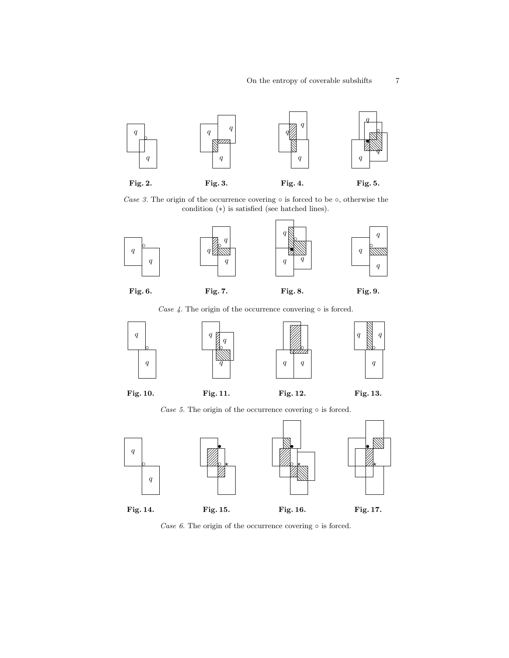

Case 3. The origin of the occurrence covering  $\circ$  is forced to be  $\circ$ , otherwise the

<span id="page-6-3"></span><span id="page-6-2"></span><span id="page-6-1"></span><span id="page-6-0"></span>condition (∗) is satisfied (see hatched lines).



Fig. 6.

<span id="page-6-7"></span><span id="page-6-4"></span>Case 4. The origin of the occurrence convering  $\circ$  is forced.



Fig. 10.

Fig. 11.

<span id="page-6-10"></span><span id="page-6-8"></span>Fig. 12.

<span id="page-6-15"></span><span id="page-6-14"></span><span id="page-6-12"></span><span id="page-6-11"></span><span id="page-6-9"></span>Fig. 13.

<span id="page-6-5"></span>Case 5. The origin of the occurrence covering  $\circ$  is forced.



<span id="page-6-13"></span><span id="page-6-6"></span>Case  $6$ . The origin of the occurrence covering  $\circ$  is forced.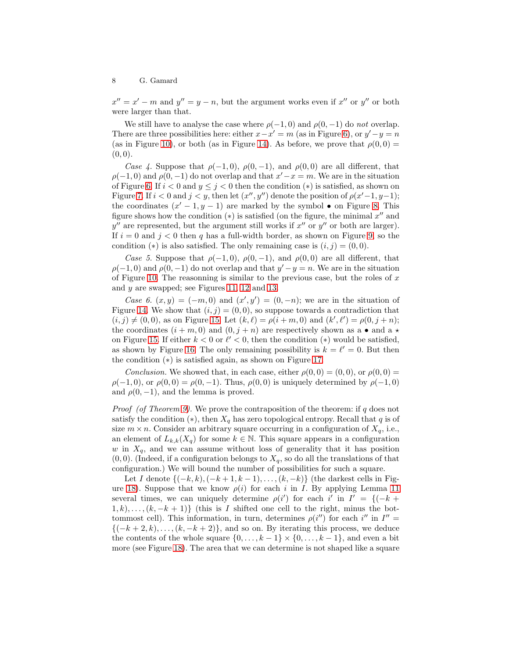$x'' = x' - m$  and  $y'' = y - n$ , but the argument works even if  $x''$  or  $y''$  or both were larger than that.

We still have to analyse the case where  $\rho(-1,0)$  and  $\rho(0,-1)$  do *not* overlap. There are three possibilities here: either  $x - x' = m$  (as in Figure [6\)](#page-6-4), or  $y' - y = n$ (as in Figure [10\)](#page-6-5), or both (as in Figure [14\)](#page-6-6). As before, we prove that  $\rho(0,0) =$  $(0, 0).$ 

*Case 4.* Suppose that  $\rho(-1,0)$ ,  $\rho(0,-1)$ , and  $\rho(0,0)$  are all different, that  $\rho(-1,0)$  and  $\rho(0,-1)$  do not overlap and that  $x'-x=m$ . We are in the situation of Figure [6.](#page-6-4) If  $i < 0$  and  $y \leq j < 0$  then the condition  $(*)$  is satisfied, as shown on Figure [7.](#page-6-7) If  $i < 0$  and  $j < y$ , then let  $(x'', y'')$  denote the position of  $\rho(x'-1, y-1)$ ; the coordinates  $(x'-1, y-1)$  are marked by the symbol  $\bullet$  on Figure [8.](#page-6-8) This figure shows how the condition  $(*)$  is satisfied (on the figure, the minimal  $x''$  and  $y''$  are represented, but the argument still works if  $x''$  or  $y''$  or both are larger). If  $i = 0$  and  $j < 0$  then q has a full-width border, as shown on Figure [9,](#page-6-9) so the condition (\*) is also satisfied. The only remaining case is  $(i, j) = (0, 0)$ .

*Case 5.* Suppose that  $\rho(-1,0)$ ,  $\rho(0,-1)$ , and  $\rho(0,0)$  are all different, that  $\rho(-1,0)$  and  $\rho(0,-1)$  do not overlap and that  $y'-y=n$ . We are in the situation of Figure [10.](#page-6-5) The reasonning is similar to the previous case, but the roles of  $x$ and y are swapped; see Figures [11,](#page-6-10) [12](#page-6-11) and [13.](#page-6-12)

*Case 6.*  $(x, y) = (-m, 0)$  and  $(x', y') = (0, -n)$ ; we are in the situation of Figure [14.](#page-6-6) We show that  $(i, j) = (0, 0)$ , so suppose towards a contradiction that  $(i, j) \neq (0, 0)$ , as on Figure [15.](#page-6-13) Let  $(k, \ell) = \rho(i + m, 0)$  and  $(k', \ell') = \rho(0, j + n)$ ; the coordinates  $(i + m, 0)$  and  $(0, j + n)$  are respectively shown as a • and a  $\star$ on Figure [15.](#page-6-13) If either  $k < 0$  or  $\ell' < 0$ , then the condition (\*) would be satisfied, as shown by Figure [16.](#page-6-14) The only remaining possibility is  $k = \ell' = 0$ . But then the condition (∗) is satisfied again, as shown on Figure [17.](#page-6-15)

*Conclusion.* We showed that, in each case, either  $\rho(0,0) = (0,0)$ , or  $\rho(0,0) =$  $\rho(-1, 0)$ , or  $\rho(0, 0) = \rho(0, -1)$ . Thus,  $\rho(0, 0)$  is uniquely determined by  $\rho(-1, 0)$ and  $\rho(0,-1)$ , and the lemma is proved.

*Proof (of Theorem [9\)](#page-4-2).* We prove the contraposition of the theorem: if q does not satisfy the condition  $(*)$ , then  $X_q$  has zero topological entropy. Recall that q is of size  $m \times n$ . Consider an arbitrary square occurring in a configuration of  $X_q$ , i.e., an element of  $L_{k,k}(X_q)$  for some  $k \in \mathbb{N}$ . This square appears in a configuration w in  $X_q$ , and we can assume without loss of generality that it has position  $(0, 0)$ . (Indeed, if a configuration belongs to  $X_q$ , so do all the translations of that configuration.) We will bound the number of possibilities for such a square.

Let I denote  $\{(-k, k), (-k+1, k-1), \ldots, (k, -k)\}\$  (the darkest cells in Fig-ure [18\)](#page-8-1). Suppose that we know  $\rho(i)$  for each i in I. By applying Lemma [11](#page-5-0) several times, we can uniquely determine  $\rho(i')$  for each i' in  $I' = \{(-k +$  $1, k), \ldots, (k, -k + 1)$  (this is I shifted one cell to the right, minus the bottommost cell). This information, in turn, determines  $\rho(i'')$  for each i'' in  $I'' =$  $\{(-k+2, k), \ldots, (k, -k+2)\}\$ , and so on. By iterating this process, we deduce the contents of the whole square  $\{0, \ldots, k-1\} \times \{0, \ldots, k-1\}$ , and even a bit more (see Figure [18\)](#page-8-1). The area that we can determine is not shaped like a square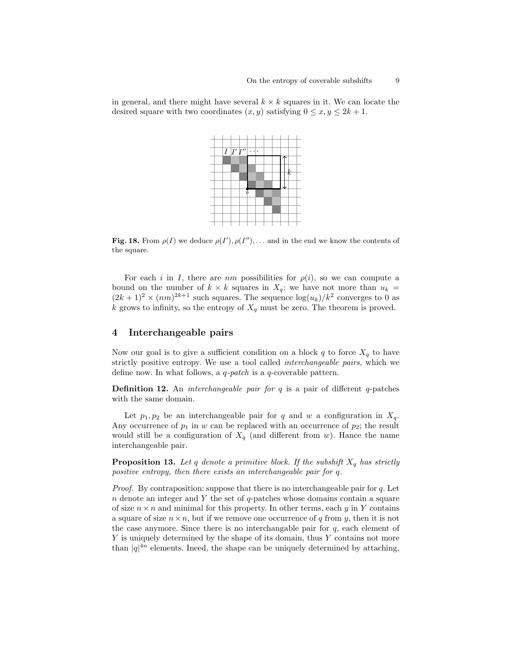in general, and there might have several  $k \times k$  squares in it. We can locate the desired square with two coordinates  $(x, y)$  satisfying  $0 \le x, y \le 2k + 1$ .



<span id="page-8-1"></span>Fig. 18. From  $\rho(I)$  we deduce  $\rho(I'), \rho(I''), \ldots$  and in the end we know the contents of the square.

For each i in I, there are nm possibilities for  $\rho(i)$ , so we can compute a bound on the number of  $k \times k$  squares in  $X_q$ : we have not more than  $u_k =$  $(2k+1)^2 \times (nm)^{2k+1}$  such squares. The sequence  $\log(u_k)/k^2$  converges to 0 as k grows to infinity, so the entropy of  $X_q$  must be zero. The theorem is proved.

# <span id="page-8-0"></span>4 Interchangeable pairs

Now our goal is to give a sufficient condition on a block q to force  $X_q$  to have strictly positive entropy. We use a tool called *interchangeable pairs*, which we define now. In what follows, a q*-patch* is a q-coverable pattern.

**Definition 12.** An *interchangeable pair for* q is a pair of different q-patches with the same domain.

Let  $p_1, p_2$  be an interchangeable pair for q and w a configuration in  $X_q$ . Any occurrence of  $p_1$  in w can be replaced with an occurrence of  $p_2$ ; the result would still be a configuration of  $X_q$  (and different from w). Hance the name interchangeable pair.

**Proposition 13.** Let q denote a primitive block. If the subshift  $X_q$  has strictly *positive entropy, then there exists an interchangeable pair for* q*.*

*Proof.* By contraposition: suppose that there is no interchangeable pair for q. Let  $n$  denote an integer and Y the set of  $q$ -patches whose domains contain a square of size  $n \times n$  and minimal for this property. In other terms, each y in Y contains a square of size  $n \times n$ , but if we remove one occurrence of q from y, then it is not the case anymore. Since there is no interchangable pair for  $q$ , each element of Y is uniquely determined by the shape of its domain, thus Y contains not more than  $|q|^{4n}$  elements. Ineed, the shape can be uniquely determined by attaching,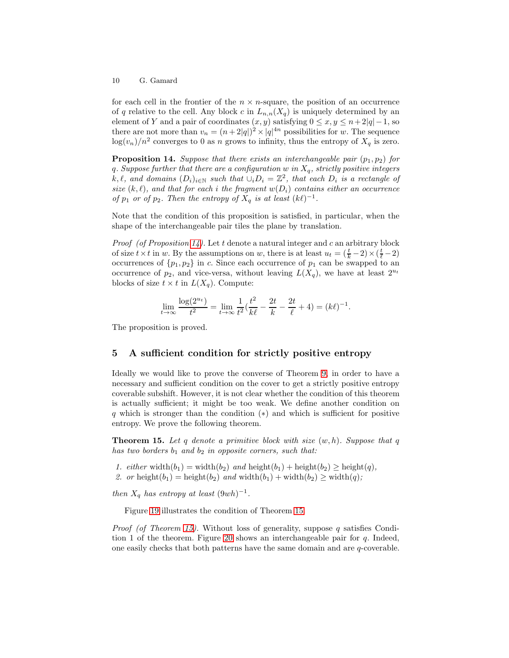for each cell in the frontier of the  $n \times n$ -square, the position of an occurrence of q relative to the cell. Any block c in  $L_{n,n}(X_q)$  is uniquely determined by an element of Y and a pair of coordinates  $(x, y)$  satisfying  $0 \le x, y \le n + 2|q| - 1$ , so there are not more than  $v_n = (n+2|q|)^2 \times |q|^{4n}$  possibilities for w. The sequence  $\log(v_n)/n^2$  converges to 0 as n grows to infinity, thus the entropy of  $X_q$  is zero.

<span id="page-9-1"></span>**Proposition 14.** *Suppose that there exists an interchangeable pair*  $(p_1, p_2)$  *for* q*. Suppose further that there are a configuration* w *in* Xq*, strictly positive integers*  $k, \ell$ , and domains  $(D_i)_{i \in \mathbb{N}}$  such that  $\cup_i D_i = \mathbb{Z}^2$ , that each  $D_i$  is a rectangle of *size*  $(k, l)$ *, and that for each i the fragment*  $w(D_i)$  *contains either an occurrence of*  $p_1$  *or of*  $p_2$ *. Then the entropy of*  $X_q$  *is at least*  $(k\ell)^{-1}$ *.* 

Note that the condition of this proposition is satisfied, in particular, when the shape of the interchangeable pair tiles the plane by translation.

*Proof (of Proposition [14\)](#page-9-1).* Let t denote a natural integer and c an arbitrary block of size  $t \times t$  in w. By the assumptions on w, there is at least  $u_t = (\frac{t}{k} - 2) \times (\frac{t}{\ell} - 2)$ occurrences of  $\{p_1, p_2\}$  in c. Since each occurrence of  $p_1$  can be swapped to an occurrence of  $p_2$ , and vice-versa, without leaving  $L(X_q)$ , we have at least  $2^{u_t}$ blocks of size  $t \times t$  in  $L(X_q)$ . Compute:

$$
\lim_{t \to \infty} \frac{\log(2^{u_t})}{t^2} = \lim_{t \to \infty} \frac{1}{t^2} \left(\frac{t^2}{k\ell} - \frac{2t}{k} - \frac{2t}{\ell} + 4\right) = (k\ell)^{-1}.
$$

The proposition is proved.

## <span id="page-9-0"></span>5 A sufficient condition for strictly positive entropy

Ideally we would like to prove the converse of Theorem [9,](#page-4-2) in order to have a necessary and sufficient condition on the cover to get a strictly positive entropy coverable subshift. However, it is not clear whether the condition of this theorem is actually sufficient; it might be too weak. We define another condition on q which is stronger than the condition (∗) and which is sufficient for positive entropy. We prove the following theorem.

<span id="page-9-2"></span>Theorem 15. *Let* q *denote a primitive block with size* (w, h)*. Suppose that* q *has two borders*  $b_1$  *and*  $b_2$  *in opposite corners, such that:* 

- *1. either* width $(b_1)$  = width $(b_2)$  *and* height $(b_1)$  + height $(b_2)$  ≥ height $(q)$ *,*
- 2. or height(b<sub>1</sub>) = height(b<sub>2</sub>) and width(b<sub>1</sub>) + width(b<sub>2</sub>) ≥ width(q);

*then*  $X_q$  *has entropy at least*  $(9wh)^{-1}$ *.* 

Figure [19](#page-10-1) illustrates the condition of Theorem [15.](#page-9-2)

*Proof (of Theorem [15\)](#page-9-2).* Without loss of generality, suppose q satisfies Condi-tion 1 of the theorem. Figure [20](#page-10-2) shows an interchangeable pair for  $q$ . Indeed, one easily checks that both patterns have the same domain and are q-coverable.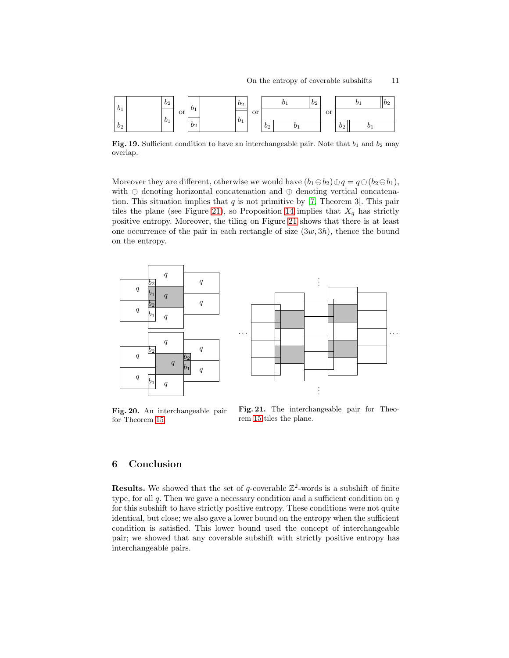

<span id="page-10-1"></span>Fig. 19. Sufficient condition to have an interchangeable pair. Note that  $b_1$  and  $b_2$  may overlap.

Moreover they are different, otherwise we would have  $(b_1\ominus b_2)\oplus q = q\oplus (b_2\ominus b_1)$ , with  $\ominus$  denoting horizontal concatenation and  $\oplus$  denoting vertical concatenation. This situation implies that  $q$  is not primitive by [\[7,](#page-11-14) Theorem 3]. This pair tiles the plane (see Figure [21\)](#page-10-3), so Proposition [14](#page-9-1) implies that  $X_q$  has strictly positive entropy. Moreover, the tiling on Figure [21](#page-10-3) shows that there is at least one occurrence of the pair in each rectangle of size  $(3w, 3h)$ , thence the bound on the entropy.



<span id="page-10-2"></span>Fig. 20. An interchangeable pair for Theorem [15.](#page-9-2)

<span id="page-10-3"></span>Fig. 21. The interchangeable pair for Theorem [15](#page-9-2) tiles the plane.

# <span id="page-10-0"></span>6 Conclusion

**Results.** We showed that the set of q-coverable  $\mathbb{Z}^2$ -words is a subshift of finite type, for all  $q$ . Then we gave a necessary condition and a sufficient condition on  $q$ for this subshift to have strictly positive entropy. These conditions were not quite identical, but close; we also gave a lower bound on the entropy when the sufficient condition is satisfied. This lower bound used the concept of interchangeable pair; we showed that any coverable subshift with strictly positive entropy has interchangeable pairs.